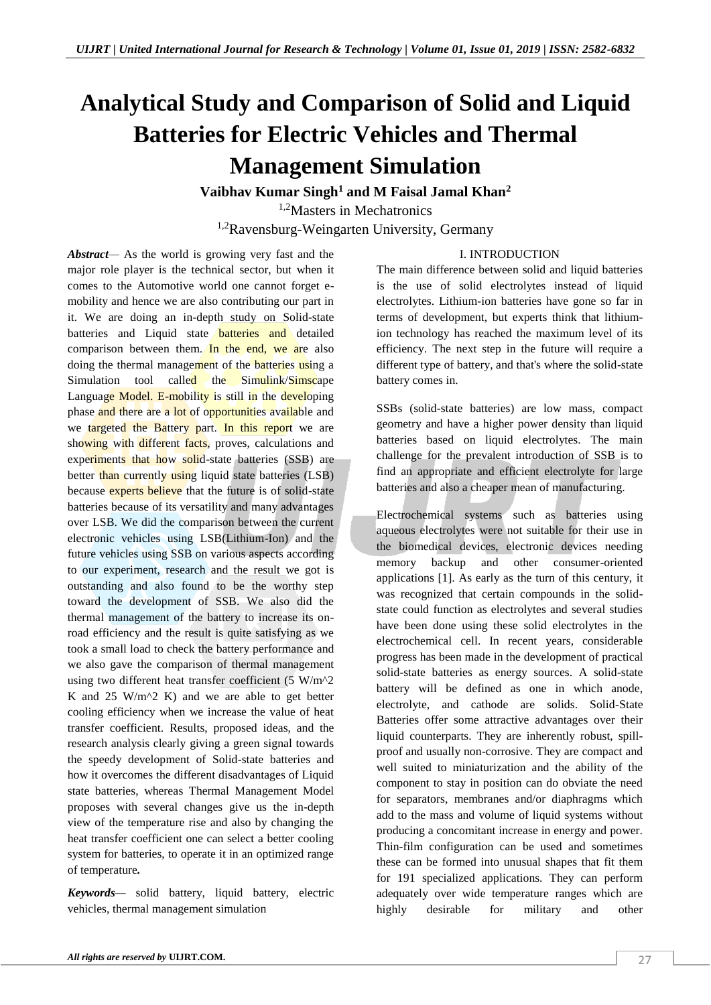# **Analytical Study and Comparison of Solid and Liquid Batteries for Electric Vehicles and Thermal Management Simulation**

**Vaibhav Kumar Singh<sup>1</sup> and M Faisal Jamal Khan<sup>2</sup>** 1,2Masters in Mechatronics <sup>1,2</sup>Ravensburg-Weingarten University, Germany

# I. INTRODUCTION

*Abstract—* As the world is growing very fast and the major role player is the technical sector, but when it comes to the Automotive world one cannot forget emobility and hence we are also contributing our part in it. We are doing an in-depth study on Solid-state batteries and Liquid state **batteries and** detailed comparison between them. In the end, we are also doing the thermal management of the batteries using a Simulation tool called the Simulink/Simscape Language Model. E-mobility is still in the developing phase and there are a lot of opportunities available and we targeted the Battery part. In this report we are showing with different facts, proves, calculations and experiments that how solid-state batteries (SSB) are better than currently using liquid state batteries (LSB) because experts believe that the future is of solid-state batteries because of its versatility and many advantages over LSB. We did the comparison between the current electronic vehicles using LSB(Lithium-Ion) and the future vehicles using SSB on various aspects according to our experiment, research and the result we got is outstanding and also found to be the worthy step toward the development of SSB. We also did the thermal management of the battery to increase its onroad efficiency and the result is quite satisfying as we took a small load to check the battery performance and we also gave the comparison of thermal management using two different heat transfer coefficient (5 W/m<sup>^2</sup> K and  $25 \text{ W/m}^2$  K) and we are able to get better cooling efficiency when we increase the value of heat transfer coefficient. Results, proposed ideas, and the research analysis clearly giving a green signal towards the speedy development of Solid-state batteries and how it overcomes the different disadvantages of Liquid state batteries, whereas Thermal Management Model proposes with several changes give us the in-depth view of the temperature rise and also by changing the heat transfer coefficient one can select a better cooling system for batteries, to operate it in an optimized range of temperature*.*

*Keywords—* solid battery, liquid battery, electric vehicles, thermal management simulation

The main difference between solid and liquid batteries is the use of solid electrolytes instead of liquid electrolytes. Lithium-ion batteries have gone so far in terms of development, but experts think that lithiumion technology has reached the maximum level of its efficiency. The next step in the future will require a different type of battery, and that's where the solid-state battery comes in.

SSBs (solid-state batteries) are low mass, compact geometry and have a higher power density than liquid batteries based on liquid electrolytes. The main challenge for the prevalent introduction of SSB is to find an appropriate and efficient electrolyte for large batteries and also a cheaper mean of manufacturing.

Electrochemical systems such as batteries using aqueous electrolytes were not suitable for their use in the biomedical devices, electronic devices needing memory backup and other consumer-oriented applications [1]. As early as the turn of this century, it was recognized that certain compounds in the solidstate could function as electrolytes and several studies have been done using these solid electrolytes in the electrochemical cell. In recent years, considerable progress has been made in the development of practical solid-state batteries as energy sources. A solid-state battery will be defined as one in which anode, electrolyte, and cathode are solids. Solid-State Batteries offer some attractive advantages over their liquid counterparts. They are inherently robust, spillproof and usually non-corrosive. They are compact and well suited to miniaturization and the ability of the component to stay in position can do obviate the need for separators, membranes and/or diaphragms which add to the mass and volume of liquid systems without producing a concomitant increase in energy and power. Thin-film configuration can be used and sometimes these can be formed into unusual shapes that fit them for 191 specialized applications. They can perform adequately over wide temperature ranges which are highly desirable for military and other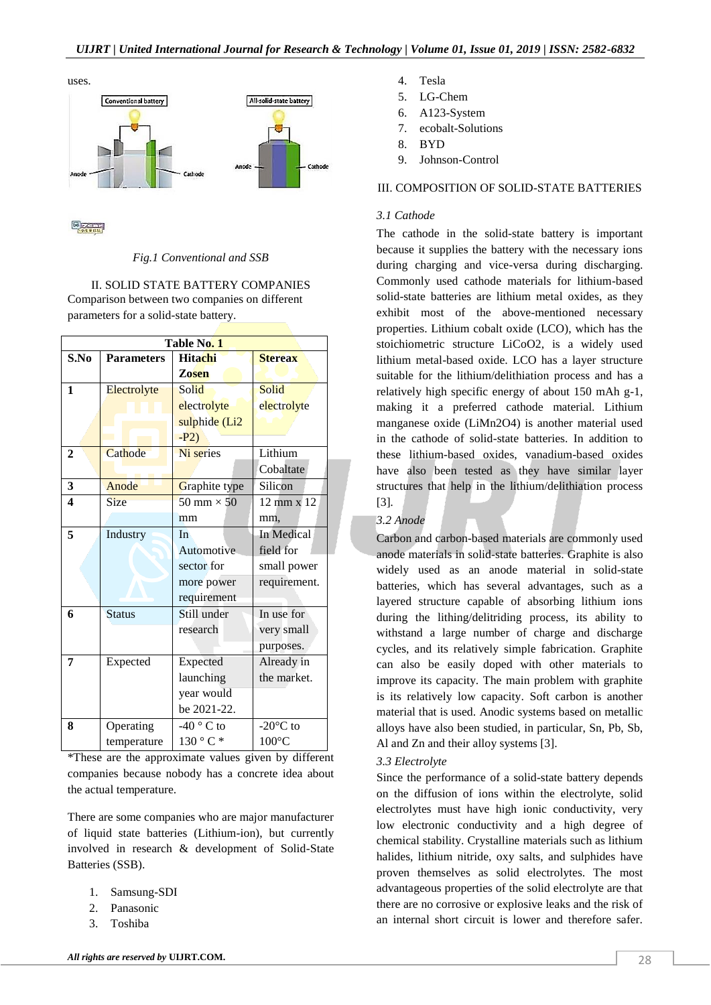

**REACH** 

#### *Fig.1 Conventional and SSB*

II. SOLID STATE BATTERY COMPANIES Comparison between two companies on different parameters for a solid-state battery.

| Table No. 1             |                   |                     |                           |  |  |
|-------------------------|-------------------|---------------------|---------------------------|--|--|
| S.No                    | <b>Parameters</b> | <b>Hitachi</b>      | <b>Stereax</b>            |  |  |
|                         |                   | <b>Zosen</b>        |                           |  |  |
| 1                       | Electrolyte       | Solid               | Solid                     |  |  |
|                         |                   | electrolyte         | electrolyte               |  |  |
|                         |                   | sulphide (Li2       |                           |  |  |
|                         |                   | $-P2)$              |                           |  |  |
| $\mathbf{2}$            | Cathode           | Ni series           | Lithium                   |  |  |
|                         |                   |                     | Cobaltate                 |  |  |
| 3                       | Anode             | Graphite type       | Silicon                   |  |  |
| $\overline{\mathbf{4}}$ | <b>Size</b>       | 50 mm $\times$ 50   | $12 \text{ mm} \times 12$ |  |  |
|                         |                   | mm                  | mm,                       |  |  |
| 5                       | Industry          | In                  | In Medical                |  |  |
|                         |                   | Automotive          | field for                 |  |  |
|                         |                   | sector for          | small power               |  |  |
|                         |                   | more power          | requirement.              |  |  |
|                         |                   | requirement         |                           |  |  |
| 6                       | <b>Status</b>     | Still under         | In use for                |  |  |
|                         |                   | research            | very small                |  |  |
|                         |                   |                     | purposes.                 |  |  |
| 7                       | Expected          | Expected            | Already in                |  |  |
|                         |                   | launching           | the market.               |  |  |
|                         |                   | year would          |                           |  |  |
|                         |                   | be 2021-22.         |                           |  |  |
| 8                       | Operating         | -40 $^{\circ}$ C to | $-20^{\circ}$ C to        |  |  |
|                         | temperature       | 130 °C              | $100^{\circ}$ C           |  |  |

\*These are the approximate values given by different companies because nobody has a concrete idea about the actual temperature.

There are some companies who are major manufacturer of liquid state batteries (Lithium-ion), but currently involved in research & development of Solid-State Batteries (SSB).

- 1. Samsung-SDI
- 2. Panasonic
- 3. Toshiba
- 4. Tesla
- 5. LG-Chem
- 6. A123-System
- 7. ecobalt-Solutions
- 8. BYD
- 9. Johnson-Control

## III. COMPOSITION OF SOLID-STATE BATTERIES

## *3.1 Cathode*

The cathode in the solid-state battery is important because it supplies the battery with the necessary ions during charging and vice-versa during discharging. Commonly used cathode materials for lithium-based solid-state batteries are lithium metal oxides, as they exhibit most of the above-mentioned necessary properties. Lithium cobalt oxide (LCO), which has the stoichiometric structure LiCoO2, is a widely used lithium metal-based oxide. LCO has a layer structure suitable for the lithium/delithiation process and has a relatively high specific energy of about 150 mAh g-1, making it a preferred cathode material. Lithium manganese oxide (LiMn2O4) is another material used in the cathode of solid-state batteries. In addition to these lithium-based oxides, vanadium-based oxides have also been tested as they have similar layer structures that help in the lithium/delithiation process [3]*.*

# *3.2 Anode*

Carbon and carbon-based materials are commonly used anode materials in solid-state batteries. Graphite is also widely used as an anode material in solid-state batteries, which has several advantages, such as a layered structure capable of absorbing lithium ions during the lithing/delitriding process, its ability to withstand a large number of charge and discharge cycles, and its relatively simple fabrication. Graphite can also be easily doped with other materials to improve its capacity. The main problem with graphite is its relatively low capacity. Soft carbon is another material that is used. Anodic systems based on metallic alloys have also been studied, in particular, Sn, Pb, Sb, Al and Zn and their alloy systems [3].

# *3.3 Electrolyte*

Since the performance of a solid-state battery depends on the diffusion of ions within the electrolyte, solid electrolytes must have high ionic conductivity, very low electronic conductivity and a high degree of chemical stability. Crystalline materials such as lithium halides, lithium nitride, oxy salts, and sulphides have proven themselves as solid electrolytes. The most advantageous properties of the solid electrolyte are that there are no corrosive or explosive leaks and the risk of an internal short circuit is lower and therefore safer.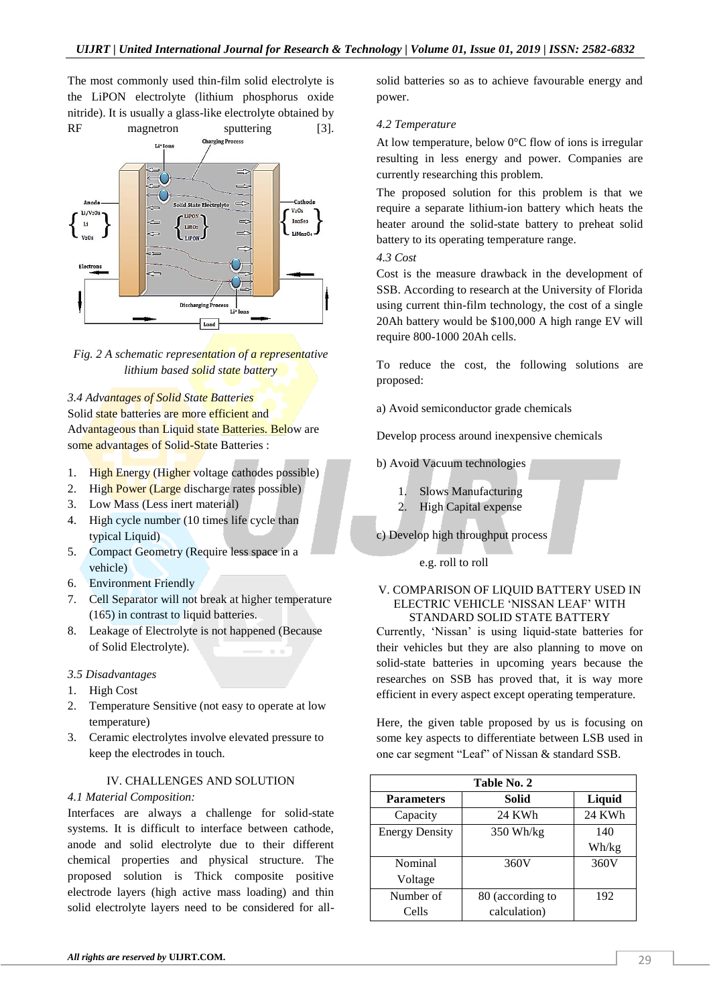The most commonly used thin-film solid electrolyte is the LiPON electrolyte (lithium phosphorus oxide nitride). It is usually a glass-like electrolyte obtained by





*3.4 Advantages of Solid State Batteries* Solid state batteries are more efficient and Advantageous than Liquid state Batteries. Below are some advantages of Solid-State Batteries :

- 1. High Energy (Higher voltage cathodes possible)
- 2. High Power (Large discharge rates possible)
- 3. Low Mass (Less inert material)
- 4. High cycle number (10 times life cycle than typical Liquid)
- 5. Compact Geometry (Require less space in a vehicle)
- 6. Environment Friendly
- 7. Cell Separator will not break at higher temperature (165) in contrast to liquid batteries.
- 8. Leakage of Electrolyte is not happened (Because of Solid Electrolyte).

## *3.5 Disadvantages*

- 1. High Cost
- 2. Temperature Sensitive (not easy to operate at low temperature)
- 3. Ceramic electrolytes involve elevated pressure to keep the electrodes in touch.

#### IV. CHALLENGES AND SOLUTION

#### *4.1 Material Composition:*

Interfaces are always a challenge for solid-state systems. It is difficult to interface between cathode, anode and solid electrolyte due to their different chemical properties and physical structure. The proposed solution is Thick composite positive electrode layers (high active mass loading) and thin solid electrolyte layers need to be considered for all-

solid batteries so as to achieve favourable energy and power.

### *4.2 Temperature*

At low temperature, below 0°C flow of ions is irregular resulting in less energy and power. Companies are currently researching this problem.

The proposed solution for this problem is that we require a separate lithium-ion battery which heats the heater around the solid-state battery to preheat solid battery to its operating temperature range.

## *4.3 Cost*

Cost is the measure drawback in the development of SSB. According to research at the University of Florida using current thin-film technology, the cost of a single 20Ah battery would be \$100,000 A high range EV will require 800-1000 20Ah cells.

To reduce the cost, the following solutions are proposed:

a) Avoid semiconductor grade chemicals

Develop process around inexpensive chemicals

b) Avoid Vacuum technologies

- 1. Slows Manufacturing
- 2. High Capital expense

c) Develop high throughput process

e.g. roll to roll

### V. COMPARISON OF LIQUID BATTERY USED IN ELECTRIC VEHICLE 'NISSAN LEAF' WITH STANDARD SOLID STATE BATTERY

Currently, 'Nissan' is using liquid-state batteries for their vehicles but they are also planning to move on solid-state batteries in upcoming years because the researches on SSB has proved that, it is way more efficient in every aspect except operating temperature.

Here, the given table proposed by us is focusing on some key aspects to differentiate between LSB used in one car segment "Leaf" of Nissan & standard SSB.

| Table No. 2           |                  |        |  |  |
|-----------------------|------------------|--------|--|--|
| <b>Parameters</b>     | <b>Solid</b>     | Liquid |  |  |
| Capacity              | 24 KWh           | 24 KWh |  |  |
| <b>Energy Density</b> | $350$ Wh/kg      | 140    |  |  |
|                       |                  | Wh/kg  |  |  |
| Nominal               | 360V             | 360V   |  |  |
| Voltage               |                  |        |  |  |
| Number of             | 80 (according to | 192    |  |  |
| Cells                 | calculation)     |        |  |  |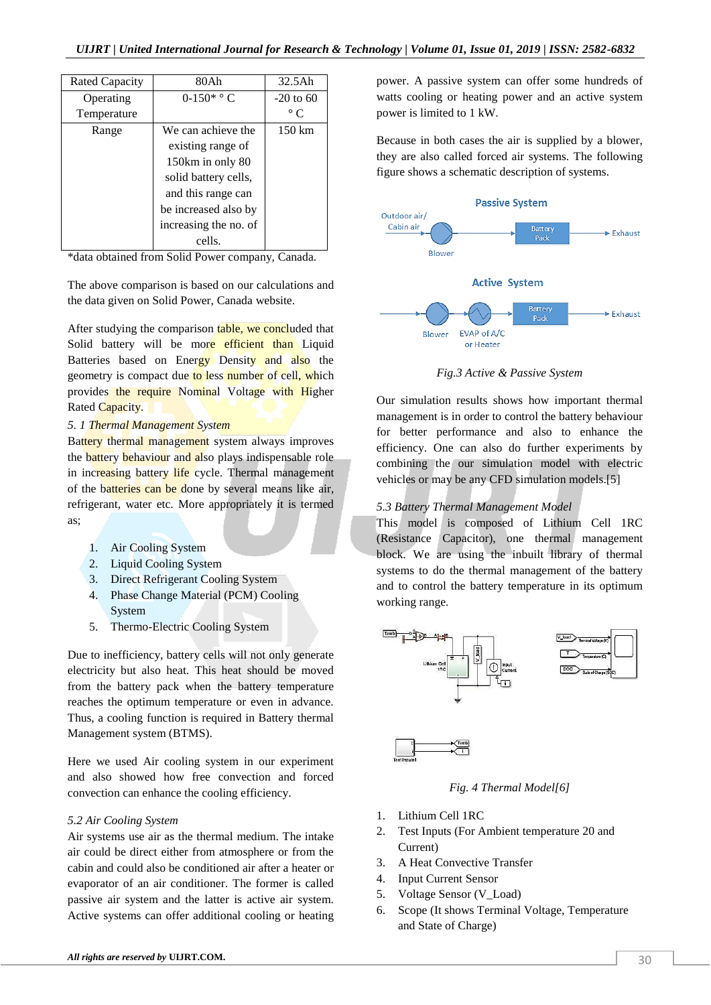| Rated Capacity | 80Ah                  | $32.5$ Ah   |
|----------------|-----------------------|-------------|
| Operating      | $0-150^*$ ° C         | $-20$ to 60 |
| Temperature    |                       | $\circ$ C   |
| Range          | We can achieve the    | 150 km      |
|                | existing range of     |             |
|                | 150km in only 80      |             |
|                | solid battery cells,  |             |
|                | and this range can    |             |
|                | be increased also by  |             |
|                | increasing the no. of |             |
|                | cells.                |             |
|                |                       |             |

\*data obtained from Solid Power company, Canada.

The above comparison is based on our calculations and the data given on Solid Power, Canada website.

After studying the comparison table, we concluded that Solid battery will be more efficient than Liquid Batteries based on Energy Density and also the geometry is compact due to less number of cell, which provides the require Nominal Voltage with Higher Rated Capacity.

#### *5. 1 Thermal Management System*

Battery thermal management system always improves the **battery behaviour** and also plays indispensable role in increasing battery life cycle. Thermal management of the batteries can be done by several means like air, refrigerant, water etc. More appropriately it is termed as;

- 1. Air Cooling System
- 2. Liquid Cooling System
- 3. Direct Refrigerant Cooling System
- 4. Phase Change Material (PCM) Cooling System
- 5. Thermo-Electric Cooling System

Due to inefficiency, battery cells will not only generate electricity but also heat. This heat should be moved from the battery pack when the battery temperature reaches the optimum temperature or even in advance. Thus, a cooling function is required in Battery thermal Management system (BTMS).

Here we used Air cooling system in our experiment and also showed how free convection and forced convection can enhance the cooling efficiency.

#### *5.2 Air Cooling System*

Air systems use air as the thermal medium. The intake air could be direct either from atmosphere or from the cabin and could also be conditioned air after a heater or evaporator of an air conditioner. The former is called passive air system and the latter is active air system. Active systems can offer additional cooling or heating

*All rights are reserved by UIJRT.COM. 30* 

power. A passive system can offer some hundreds of watts cooling or heating power and an active system power is limited to 1 kW.

Because in both cases the air is supplied by a blower, they are also called forced air systems. The following figure shows a schematic description of systems.



*Fig.3 Active & Passive System*

Our simulation results shows how important thermal management is in order to control the battery behaviour for better performance and also to enhance the efficiency. One can also do further experiments by combining the our simulation model with electric vehicles or may be any CFD simulation models.[5]

# *5.3 Battery Thermal Management Model*

This model is composed of Lithium Cell 1RC (Resistance Capacitor), one thermal management block. We are using the inbuilt library of thermal systems to do the thermal management of the battery and to control the battery temperature in its optimum working range.



*Fig. 4 Thermal Model[6]*

- 1. Lithium Cell 1RC
- 2. Test Inputs (For Ambient temperature 20 and Current)
- 3. A Heat Convective Transfer
- 4. Input Current Sensor
- 5. Voltage Sensor (V\_Load)
- 6. Scope (It shows Terminal Voltage, Temperature and State of Charge)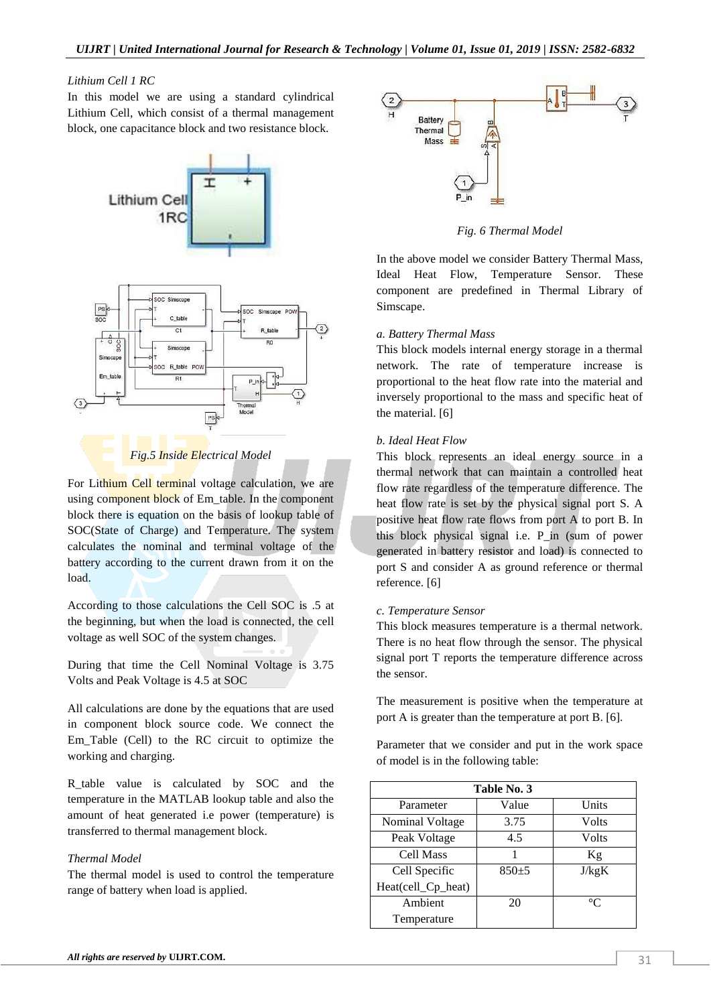#### *Lithium Cell 1 RC*

In this model we are using a standard cylindrical Lithium Cell, which consist of a thermal management block, one capacitance block and two resistance block.





For Lithium Cell terminal voltage calculation, we are using component block of Em table. In the component block there is equation on the basis of lookup table of SOC(State of Charge) and Temperature. The system calculates the nominal and terminal voltage of the battery according to the current drawn from it on the load.

According to those calculations the Cell SOC is .5 at the beginning, but when the load is connected, the cell voltage as well SOC of the system changes.

During that time the Cell Nominal Voltage is 3.75 Volts and Peak Voltage is 4.5 at SOC

All calculations are done by the equations that are used in component block source code. We connect the Em\_Table (Cell) to the RC circuit to optimize the working and charging.

R table value is calculated by SOC and the temperature in the MATLAB lookup table and also the amount of heat generated i.e power (temperature) is transferred to thermal management block.

## *Thermal Model*

The thermal model is used to control the temperature range of battery when load is applied.



*Fig. 6 Thermal Model*

In the above model we consider Battery Thermal Mass, Ideal Heat Flow, Temperature Sensor. These component are predefined in Thermal Library of Simscape.

## *a. Battery Thermal Mass*

This block models internal energy storage in a thermal network. The rate of temperature increase is proportional to the heat flow rate into the material and inversely proportional to the mass and specific heat of the material. [6]

## *b. Ideal Heat Flow*

This block represents an ideal energy source in a thermal network that can maintain a controlled heat flow rate regardless of the temperature difference. The heat flow rate is set by the physical signal port S. A positive heat flow rate flows from port A to port B. In this block physical signal i.e. P\_in (sum of power generated in battery resistor and load) is connected to port S and consider A as ground reference or thermal reference. [6]

#### *c. Temperature Sensor*

This block measures temperature is a thermal network. There is no heat flow through the sensor. The physical signal port T reports the temperature difference across the sensor.

The measurement is positive when the temperature at port A is greater than the temperature at port B. [6].

Parameter that we consider and put in the work space of model is in the following table:

| Table No. 3        |         |             |  |  |  |
|--------------------|---------|-------------|--|--|--|
| Parameter          | Value   | Units       |  |  |  |
| Nominal Voltage    | 3.75    | Volts       |  |  |  |
| Peak Voltage       | 4.5     | Volts       |  |  |  |
| Cell Mass          |         | Kg          |  |  |  |
| Cell Specific      | $850+5$ | J/kgK       |  |  |  |
| Heat(cell_Cp_heat) |         |             |  |  |  |
| Ambient            | 20      | $^{\circ}C$ |  |  |  |
| Temperature        |         |             |  |  |  |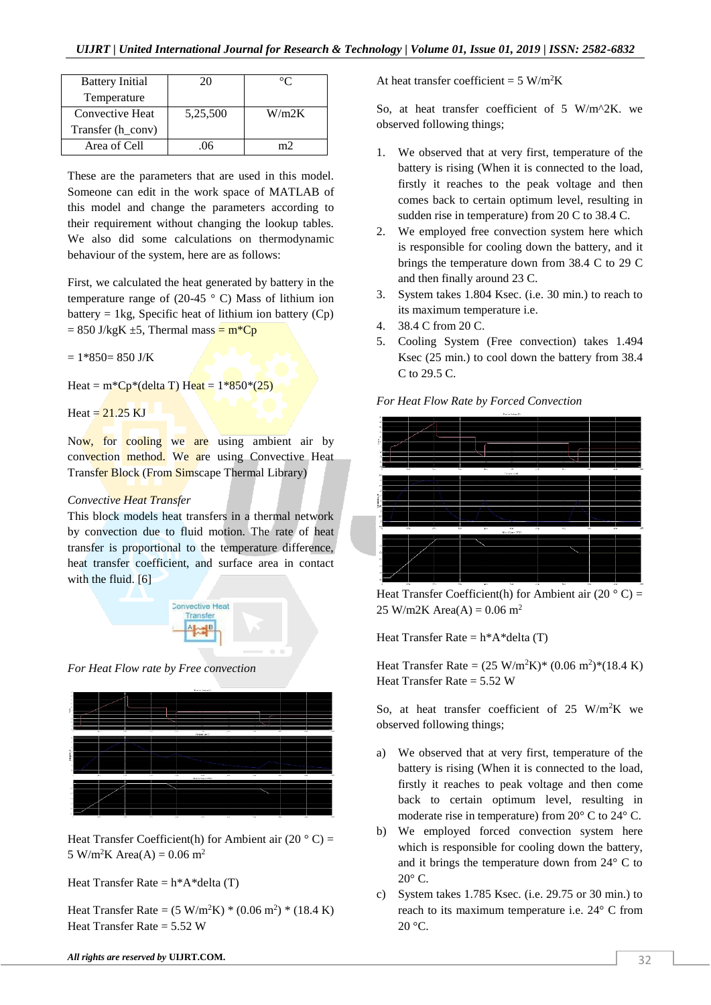| <b>Battery Initial</b> | 20       |       |
|------------------------|----------|-------|
| Temperature            |          |       |
| Convective Heat        | 5,25,500 | W/m2K |
| Transfer (h_conv)      |          |       |
| Area of Cell           | በհ       |       |

These are the parameters that are used in this model. Someone can edit in the work space of MATLAB of this model and change the parameters according to their requirement without changing the lookup tables. We also did some calculations on thermodynamic behaviour of the system, here are as follows:

First, we calculated the heat generated by battery in the temperature range of (20-45  $\degree$  C) Mass of lithium ion battery  $= 1 \text{kg}$ , Specific heat of lithium ion battery (Cp)  $= 850$  J/kgK  $\pm 5$ , Thermal mass  $= m^*Cp$ 

 $= 1*850 = 850$  J/K

Heat =  $m^*Cp^*$ (delta T) Heat =  $1*850*(25)$ 

Heat  $= 21.25$  KJ

Now, for cooling we are using ambient air by convection method. We are using Convective Heat Transfer Block (From Simscape Thermal Library)

## *Convective Heat Transfer*

This block models heat transfers in a thermal network by convection due to fluid motion. The rate of heat transfer is proportional to the temperature difference, heat transfer coefficient, and surface area in contact with the fluid. [6]



*For Heat Flow rate by Free convection*



Heat Transfer Coefficient(h) for Ambient air (20  $\degree$  C) = 5 W/m<sup>2</sup>K Area(A) =  $0.06$  m<sup>2</sup>

Heat Transfer Rate =  $h^*A^*$ delta (T)

Heat Transfer Rate =  $(5 \text{ W/m}^2\text{K})$  \*  $(0.06 \text{ m}^2)$  \*  $(18.4 \text{ K})$ Heat Transfer Rate =  $5.52$  W

*All rights are reserved by UIJRT.COM.*  $\sqrt{32}$ 

At heat transfer coefficient =  $5 W/m^2K$ 

So, at heat transfer coefficient of 5 W/m<sup>2</sup>X. we observed following things;

- 1. We observed that at very first, temperature of the battery is rising (When it is connected to the load, firstly it reaches to the peak voltage and then comes back to certain optimum level, resulting in sudden rise in temperature) from 20 C to 38.4 C.
- 2. We employed free convection system here which is responsible for cooling down the battery, and it brings the temperature down from 38.4 C to 29 C and then finally around 23 C.
- 3. System takes 1.804 Ksec. (i.e. 30 min.) to reach to its maximum temperature i.e.
- 4. 38.4 C from 20 C.
- 5. Cooling System (Free convection) takes 1.494 Ksec (25 min.) to cool down the battery from 38.4 C to 29.5 C.





Heat Transfer Coefficient(h) for Ambient air (20 $\degree$ C) =  $25 W/m2K Area(A) = 0.06 m<sup>2</sup>$ 

Heat Transfer Rate =  $h^*A^*$ delta (T)

Heat Transfer Rate =  $(25 \text{ W/m}^2\text{K})^* (0.06 \text{ m}^2)^* (18.4 \text{ K})$ Heat Transfer Rate  $= 5.52$  W

So, at heat transfer coefficient of  $25 \text{ W/m}^2\text{K}$  we observed following things;

- a) We observed that at very first, temperature of the battery is rising (When it is connected to the load, firstly it reaches to peak voltage and then come back to certain optimum level, resulting in moderate rise in temperature) from 20° C to 24° C.
- b) We employed forced convection system here which is responsible for cooling down the battery, and it brings the temperature down from 24° C to  $20^{\circ}$  C.
- c) System takes 1.785 Ksec. (i.e. 29.75 or 30 min.) to reach to its maximum temperature i.e. 24° C from  $20^{\circ}$ C.